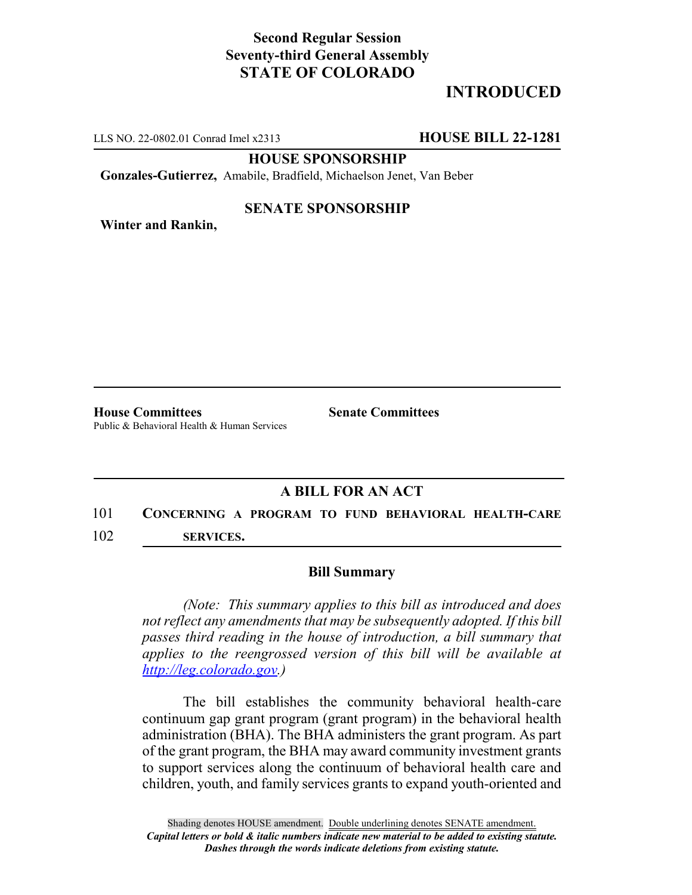# **Second Regular Session Seventy-third General Assembly STATE OF COLORADO**

# **INTRODUCED**

LLS NO. 22-0802.01 Conrad Imel x2313 **HOUSE BILL 22-1281**

**HOUSE SPONSORSHIP**

**Gonzales-Gutierrez,** Amabile, Bradfield, Michaelson Jenet, Van Beber

### **SENATE SPONSORSHIP**

**Winter and Rankin,**

**House Committees Senate Committees** Public & Behavioral Health & Human Services

## **A BILL FOR AN ACT**

## 101 **CONCERNING A PROGRAM TO FUND BEHAVIORAL HEALTH-CARE**

102 **SERVICES.**

### **Bill Summary**

*(Note: This summary applies to this bill as introduced and does not reflect any amendments that may be subsequently adopted. If this bill passes third reading in the house of introduction, a bill summary that applies to the reengrossed version of this bill will be available at http://leg.colorado.gov.)*

The bill establishes the community behavioral health-care continuum gap grant program (grant program) in the behavioral health administration (BHA). The BHA administers the grant program. As part of the grant program, the BHA may award community investment grants to support services along the continuum of behavioral health care and children, youth, and family services grants to expand youth-oriented and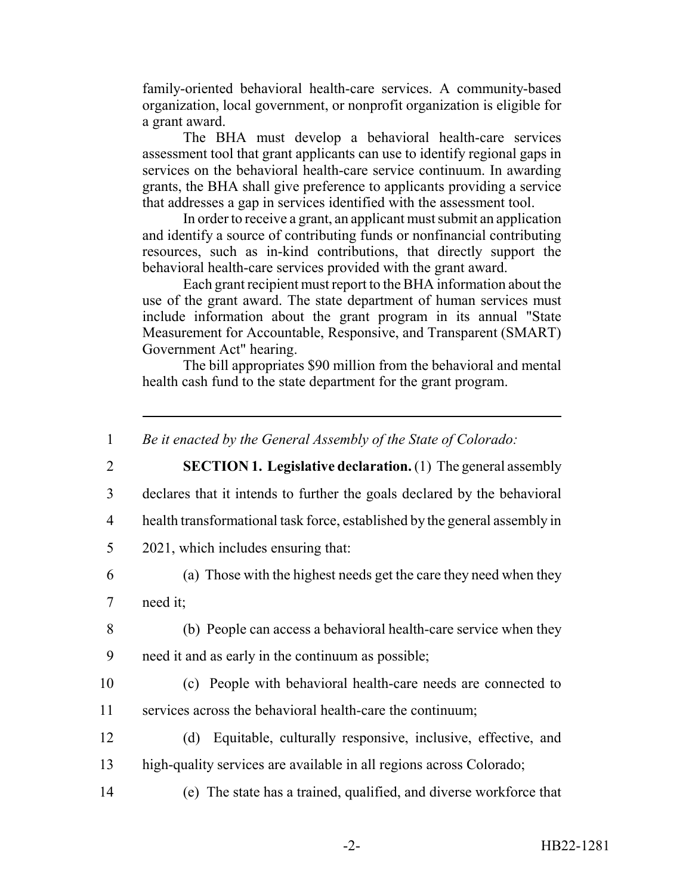family-oriented behavioral health-care services. A community-based organization, local government, or nonprofit organization is eligible for a grant award.

The BHA must develop a behavioral health-care services assessment tool that grant applicants can use to identify regional gaps in services on the behavioral health-care service continuum. In awarding grants, the BHA shall give preference to applicants providing a service that addresses a gap in services identified with the assessment tool.

In order to receive a grant, an applicant must submit an application and identify a source of contributing funds or nonfinancial contributing resources, such as in-kind contributions, that directly support the behavioral health-care services provided with the grant award.

Each grant recipient must report to the BHA information about the use of the grant award. The state department of human services must include information about the grant program in its annual "State Measurement for Accountable, Responsive, and Transparent (SMART) Government Act" hearing.

The bill appropriates \$90 million from the behavioral and mental health cash fund to the state department for the grant program.

<sup>1</sup> *Be it enacted by the General Assembly of the State of Colorado:* 2 **SECTION 1. Legislative declaration.** (1) The general assembly 3 declares that it intends to further the goals declared by the behavioral 4 health transformational task force, established by the general assembly in 5 2021, which includes ensuring that: 6 (a) Those with the highest needs get the care they need when they 7 need it; 8 (b) People can access a behavioral health-care service when they 9 need it and as early in the continuum as possible; 10 (c) People with behavioral health-care needs are connected to 11 services across the behavioral health-care the continuum; 12 (d) Equitable, culturally responsive, inclusive, effective, and 13 high-quality services are available in all regions across Colorado; 14 (e) The state has a trained, qualified, and diverse workforce that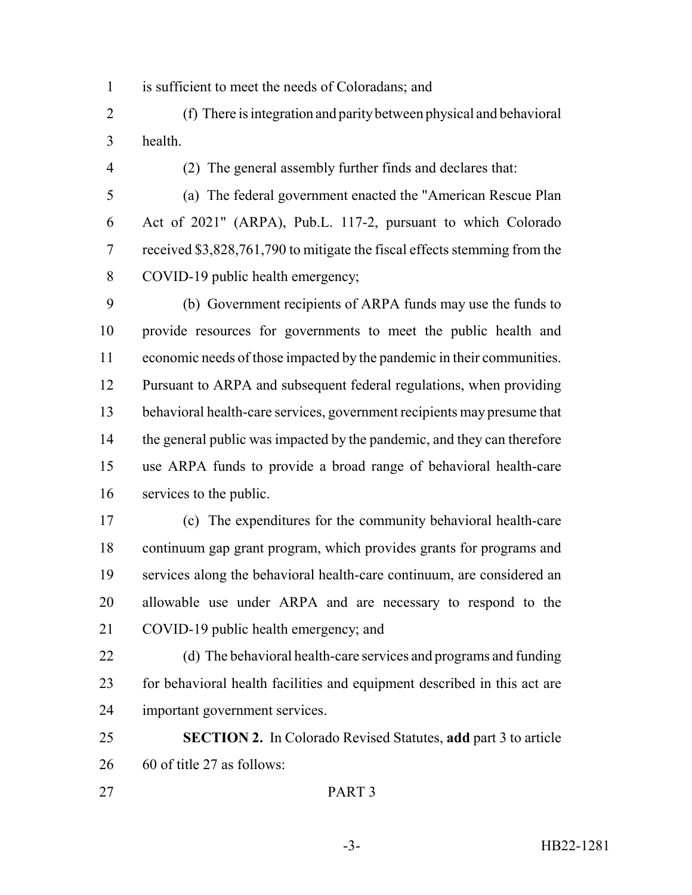is sufficient to meet the needs of Coloradans; and

- (f) There is integration and parity between physical and behavioral health.
- 

(2) The general assembly further finds and declares that:

 (a) The federal government enacted the "American Rescue Plan Act of 2021" (ARPA), Pub.L. 117-2, pursuant to which Colorado received \$3,828,761,790 to mitigate the fiscal effects stemming from the COVID-19 public health emergency;

 (b) Government recipients of ARPA funds may use the funds to provide resources for governments to meet the public health and economic needs of those impacted by the pandemic in their communities. Pursuant to ARPA and subsequent federal regulations, when providing behavioral health-care services, government recipients may presume that 14 the general public was impacted by the pandemic, and they can therefore use ARPA funds to provide a broad range of behavioral health-care services to the public.

 (c) The expenditures for the community behavioral health-care continuum gap grant program, which provides grants for programs and services along the behavioral health-care continuum, are considered an allowable use under ARPA and are necessary to respond to the COVID-19 public health emergency; and

 (d) The behavioral health-care services and programs and funding for behavioral health facilities and equipment described in this act are important government services.

 **SECTION 2.** In Colorado Revised Statutes, **add** part 3 to article 60 of title 27 as follows: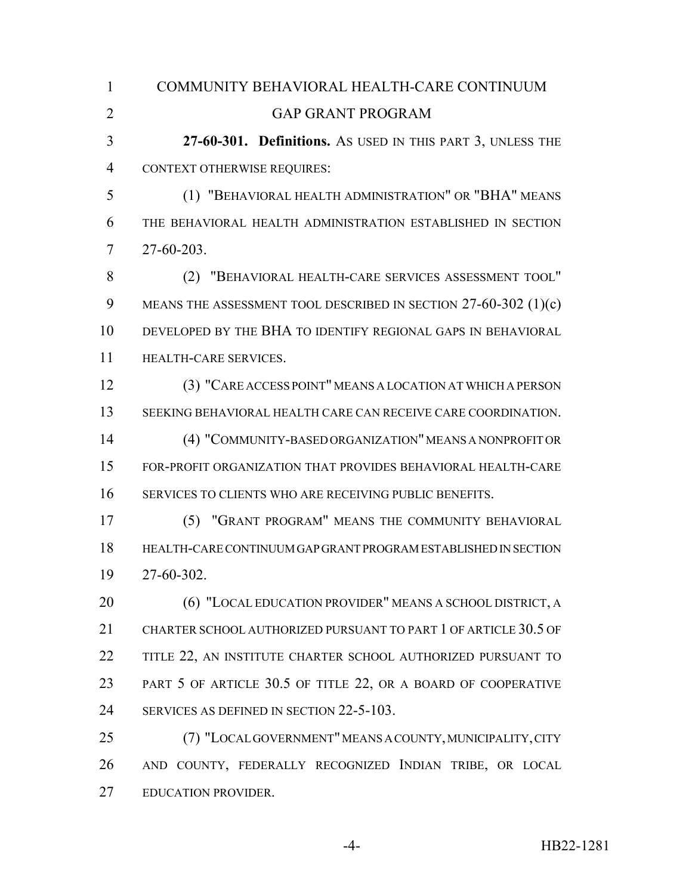| $\mathbf{1}$   | COMMUNITY BEHAVIORAL HEALTH-CARE CONTINUUM                        |
|----------------|-------------------------------------------------------------------|
| $\overline{2}$ | <b>GAP GRANT PROGRAM</b>                                          |
| 3              | 27-60-301. Definitions. As USED IN THIS PART 3, UNLESS THE        |
| 4              | <b>CONTEXT OTHERWISE REQUIRES:</b>                                |
| 5              | (1) "BEHAVIORAL HEALTH ADMINISTRATION" OR "BHA" MEANS             |
| 6              | THE BEHAVIORAL HEALTH ADMINISTRATION ESTABLISHED IN SECTION       |
| 7              | 27-60-203.                                                        |
| 8              | (2) "BEHAVIORAL HEALTH-CARE SERVICES ASSESSMENT TOOL"             |
| 9              | MEANS THE ASSESSMENT TOOL DESCRIBED IN SECTION $27-60-302$ (1)(c) |
| 10             | DEVELOPED BY THE BHA TO IDENTIFY REGIONAL GAPS IN BEHAVIORAL      |
| 11             | HEALTH-CARE SERVICES.                                             |
| 12             | (3) "CARE ACCESS POINT" MEANS A LOCATION AT WHICH A PERSON        |
| 13             | SEEKING BEHAVIORAL HEALTH CARE CAN RECEIVE CARE COORDINATION.     |
| 14             | (4) "COMMUNITY-BASED ORGANIZATION" MEANS A NONPROFIT OR           |
| 15             | FOR-PROFIT ORGANIZATION THAT PROVIDES BEHAVIORAL HEALTH-CARE      |
| 16             | SERVICES TO CLIENTS WHO ARE RECEIVING PUBLIC BENEFITS.            |
| 17             | (5) "GRANT PROGRAM" MEANS THE COMMUNITY BEHAVIORAL                |
| 18             | HEALTH-CARE CONTINUUM GAP GRANT PROGRAM ESTABLISHED IN SECTION    |
| 19             | 27-60-302.                                                        |
| 20             | (6) "LOCAL EDUCATION PROVIDER" MEANS A SCHOOL DISTRICT, A         |
| 21             | CHARTER SCHOOL AUTHORIZED PURSUANT TO PART 1 OF ARTICLE 30.5 OF   |
| 22             | TITLE 22, AN INSTITUTE CHARTER SCHOOL AUTHORIZED PURSUANT TO      |
| 23             | PART 5 OF ARTICLE 30.5 OF TITLE 22, OR A BOARD OF COOPERATIVE     |
| 24             | SERVICES AS DEFINED IN SECTION 22-5-103.                          |
| 25             | (7) "LOCAL GOVERNMENT" MEANS A COUNTY, MUNICIPALITY, CITY         |
| 26             | AND COUNTY, FEDERALLY RECOGNIZED INDIAN TRIBE, OR LOCAL           |
| 27             | EDUCATION PROVIDER.                                               |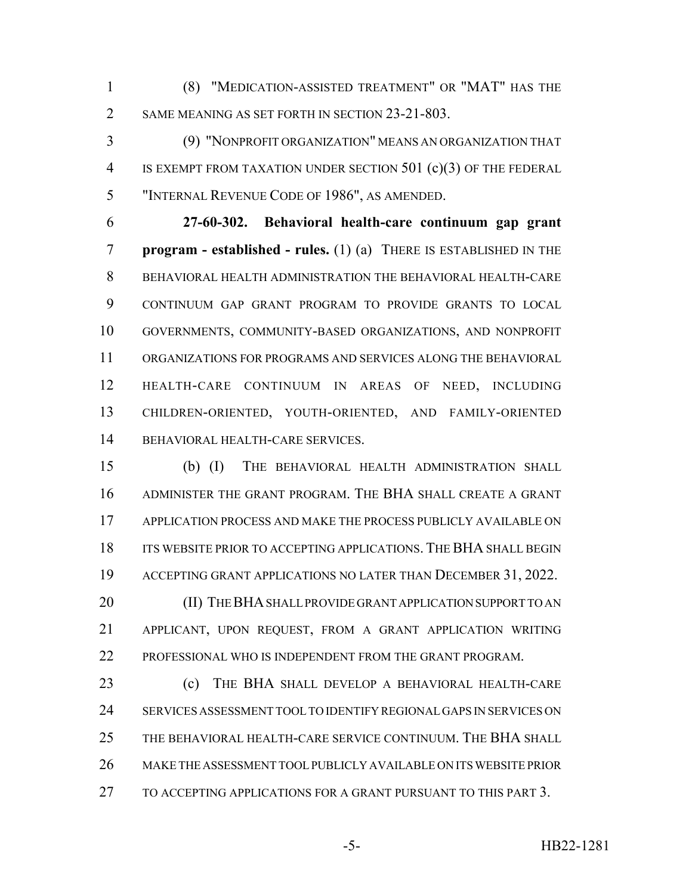(8) "MEDICATION-ASSISTED TREATMENT" OR "MAT" HAS THE 2 SAME MEANING AS SET FORTH IN SECTION 23-21-803.

 (9) "NONPROFIT ORGANIZATION" MEANS AN ORGANIZATION THAT IS EXEMPT FROM TAXATION UNDER SECTION 501 (c)(3) OF THE FEDERAL "INTERNAL REVENUE CODE OF 1986", AS AMENDED.

 **27-60-302. Behavioral health-care continuum gap grant program - established - rules.** (1) (a) THERE IS ESTABLISHED IN THE BEHAVIORAL HEALTH ADMINISTRATION THE BEHAVIORAL HEALTH-CARE CONTINUUM GAP GRANT PROGRAM TO PROVIDE GRANTS TO LOCAL GOVERNMENTS, COMMUNITY-BASED ORGANIZATIONS, AND NONPROFIT ORGANIZATIONS FOR PROGRAMS AND SERVICES ALONG THE BEHAVIORAL HEALTH-CARE CONTINUUM IN AREAS OF NEED, INCLUDING CHILDREN-ORIENTED, YOUTH-ORIENTED, AND FAMILY-ORIENTED BEHAVIORAL HEALTH-CARE SERVICES.

 (b) (I) THE BEHAVIORAL HEALTH ADMINISTRATION SHALL ADMINISTER THE GRANT PROGRAM. THE BHA SHALL CREATE A GRANT APPLICATION PROCESS AND MAKE THE PROCESS PUBLICLY AVAILABLE ON 18 ITS WEBSITE PRIOR TO ACCEPTING APPLICATIONS. THE BHA SHALL BEGIN ACCEPTING GRANT APPLICATIONS NO LATER THAN DECEMBER 31, 2022.

20 (II) THE BHA SHALL PROVIDE GRANT APPLICATION SUPPORT TO AN APPLICANT, UPON REQUEST, FROM A GRANT APPLICATION WRITING PROFESSIONAL WHO IS INDEPENDENT FROM THE GRANT PROGRAM.

 (c) THE BHA SHALL DEVELOP A BEHAVIORAL HEALTH-CARE SERVICES ASSESSMENT TOOL TO IDENTIFY REGIONAL GAPS IN SERVICES ON THE BEHAVIORAL HEALTH-CARE SERVICE CONTINUUM. THE BHA SHALL MAKE THE ASSESSMENT TOOL PUBLICLY AVAILABLE ON ITS WEBSITE PRIOR TO ACCEPTING APPLICATIONS FOR A GRANT PURSUANT TO THIS PART 3.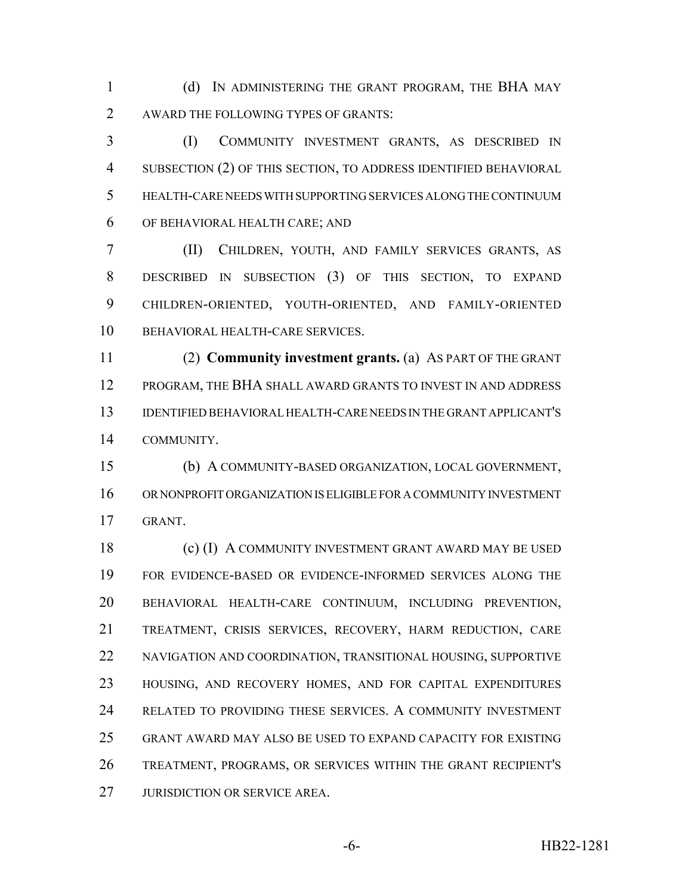(d) IN ADMINISTERING THE GRANT PROGRAM, THE BHA MAY AWARD THE FOLLOWING TYPES OF GRANTS:

 (I) COMMUNITY INVESTMENT GRANTS, AS DESCRIBED IN SUBSECTION (2) OF THIS SECTION, TO ADDRESS IDENTIFIED BEHAVIORAL HEALTH-CARE NEEDS WITH SUPPORTING SERVICES ALONG THE CONTINUUM OF BEHAVIORAL HEALTH CARE; AND

 (II) CHILDREN, YOUTH, AND FAMILY SERVICES GRANTS, AS DESCRIBED IN SUBSECTION (3) OF THIS SECTION, TO EXPAND CHILDREN-ORIENTED, YOUTH-ORIENTED, AND FAMILY-ORIENTED BEHAVIORAL HEALTH-CARE SERVICES.

 (2) **Community investment grants.** (a) AS PART OF THE GRANT 12 PROGRAM, THE BHA SHALL AWARD GRANTS TO INVEST IN AND ADDRESS IDENTIFIED BEHAVIORAL HEALTH-CARE NEEDS IN THE GRANT APPLICANT'S COMMUNITY.

 (b) A COMMUNITY-BASED ORGANIZATION, LOCAL GOVERNMENT, OR NONPROFIT ORGANIZATION IS ELIGIBLE FOR A COMMUNITY INVESTMENT GRANT.

 (c) (I) A COMMUNITY INVESTMENT GRANT AWARD MAY BE USED FOR EVIDENCE-BASED OR EVIDENCE-INFORMED SERVICES ALONG THE BEHAVIORAL HEALTH-CARE CONTINUUM, INCLUDING PREVENTION, TREATMENT, CRISIS SERVICES, RECOVERY, HARM REDUCTION, CARE NAVIGATION AND COORDINATION, TRANSITIONAL HOUSING, SUPPORTIVE HOUSING, AND RECOVERY HOMES, AND FOR CAPITAL EXPENDITURES RELATED TO PROVIDING THESE SERVICES. A COMMUNITY INVESTMENT GRANT AWARD MAY ALSO BE USED TO EXPAND CAPACITY FOR EXISTING TREATMENT, PROGRAMS, OR SERVICES WITHIN THE GRANT RECIPIENT'S 27 JURISDICTION OR SERVICE AREA.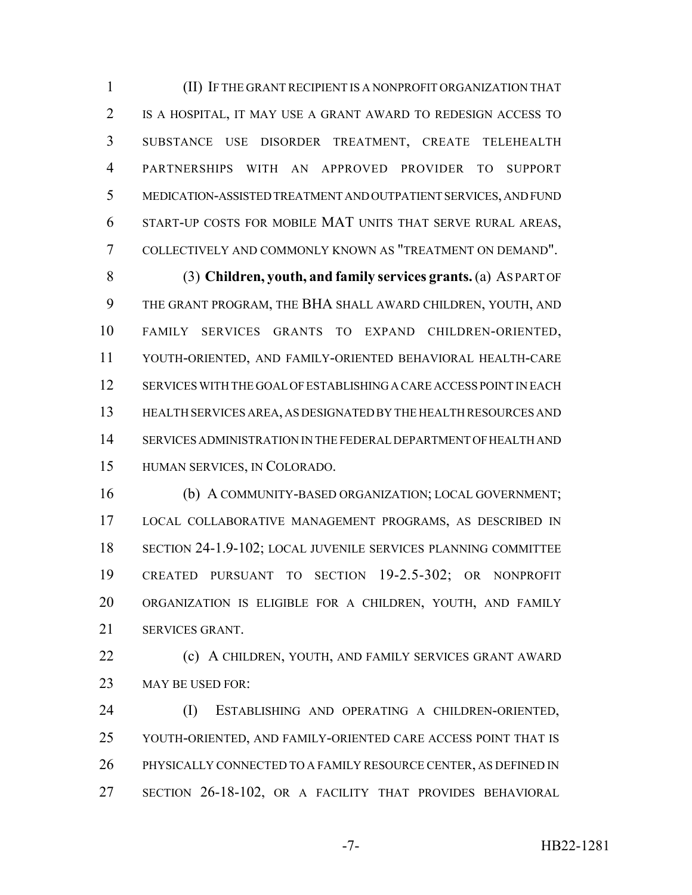(II) IF THE GRANT RECIPIENT IS A NONPROFIT ORGANIZATION THAT IS A HOSPITAL, IT MAY USE A GRANT AWARD TO REDESIGN ACCESS TO SUBSTANCE USE DISORDER TREATMENT, CREATE TELEHEALTH PARTNERSHIPS WITH AN APPROVED PROVIDER TO SUPPORT MEDICATION-ASSISTED TREATMENT AND OUTPATIENT SERVICES, AND FUND START-UP COSTS FOR MOBILE MAT UNITS THAT SERVE RURAL AREAS, COLLECTIVELY AND COMMONLY KNOWN AS "TREATMENT ON DEMAND".

 (3) **Children, youth, and family services grants.** (a) AS PART OF THE GRANT PROGRAM, THE BHA SHALL AWARD CHILDREN, YOUTH, AND FAMILY SERVICES GRANTS TO EXPAND CHILDREN-ORIENTED, YOUTH-ORIENTED, AND FAMILY-ORIENTED BEHAVIORAL HEALTH-CARE SERVICES WITH THE GOAL OF ESTABLISHING A CARE ACCESS POINT IN EACH HEALTH SERVICES AREA, AS DESIGNATED BY THE HEALTH RESOURCES AND SERVICES ADMINISTRATION IN THE FEDERAL DEPARTMENT OF HEALTH AND HUMAN SERVICES, IN COLORADO.

 (b) A COMMUNITY-BASED ORGANIZATION; LOCAL GOVERNMENT; LOCAL COLLABORATIVE MANAGEMENT PROGRAMS, AS DESCRIBED IN SECTION 24-1.9-102; LOCAL JUVENILE SERVICES PLANNING COMMITTEE CREATED PURSUANT TO SECTION 19-2.5-302; OR NONPROFIT ORGANIZATION IS ELIGIBLE FOR A CHILDREN, YOUTH, AND FAMILY SERVICES GRANT.

 (c) A CHILDREN, YOUTH, AND FAMILY SERVICES GRANT AWARD 23 MAY BE USED FOR:

 (I) ESTABLISHING AND OPERATING A CHILDREN-ORIENTED, YOUTH-ORIENTED, AND FAMILY-ORIENTED CARE ACCESS POINT THAT IS PHYSICALLY CONNECTED TO A FAMILY RESOURCE CENTER, AS DEFINED IN SECTION 26-18-102, OR A FACILITY THAT PROVIDES BEHAVIORAL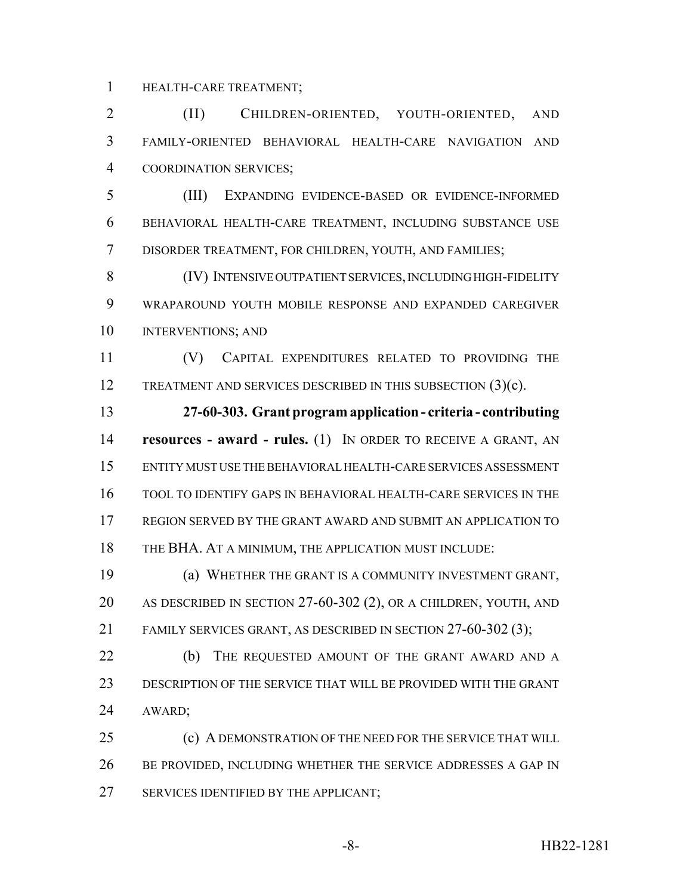HEALTH-CARE TREATMENT;

 (II) CHILDREN-ORIENTED, YOUTH-ORIENTED, AND FAMILY-ORIENTED BEHAVIORAL HEALTH-CARE NAVIGATION AND COORDINATION SERVICES;

 (III) EXPANDING EVIDENCE-BASED OR EVIDENCE-INFORMED BEHAVIORAL HEALTH-CARE TREATMENT, INCLUDING SUBSTANCE USE DISORDER TREATMENT, FOR CHILDREN, YOUTH, AND FAMILIES;

 (IV) INTENSIVE OUTPATIENT SERVICES, INCLUDING HIGH-FIDELITY WRAPAROUND YOUTH MOBILE RESPONSE AND EXPANDED CAREGIVER INTERVENTIONS; AND

 (V) CAPITAL EXPENDITURES RELATED TO PROVIDING THE 12 TREATMENT AND SERVICES DESCRIBED IN THIS SUBSECTION (3)(c).

 **27-60-303. Grant program application - criteria - contributing resources - award - rules.** (1) IN ORDER TO RECEIVE A GRANT, AN ENTITY MUST USE THE BEHAVIORAL HEALTH-CARE SERVICES ASSESSMENT TOOL TO IDENTIFY GAPS IN BEHAVIORAL HEALTH-CARE SERVICES IN THE REGION SERVED BY THE GRANT AWARD AND SUBMIT AN APPLICATION TO 18 THE BHA. AT A MINIMUM, THE APPLICATION MUST INCLUDE:

 (a) WHETHER THE GRANT IS A COMMUNITY INVESTMENT GRANT, AS DESCRIBED IN SECTION 27-60-302 (2), OR A CHILDREN, YOUTH, AND FAMILY SERVICES GRANT, AS DESCRIBED IN SECTION 27-60-302 (3);

22 (b) THE REQUESTED AMOUNT OF THE GRANT AWARD AND A DESCRIPTION OF THE SERVICE THAT WILL BE PROVIDED WITH THE GRANT AWARD;

 (c) A DEMONSTRATION OF THE NEED FOR THE SERVICE THAT WILL 26 BE PROVIDED, INCLUDING WHETHER THE SERVICE ADDRESSES A GAP IN SERVICES IDENTIFIED BY THE APPLICANT;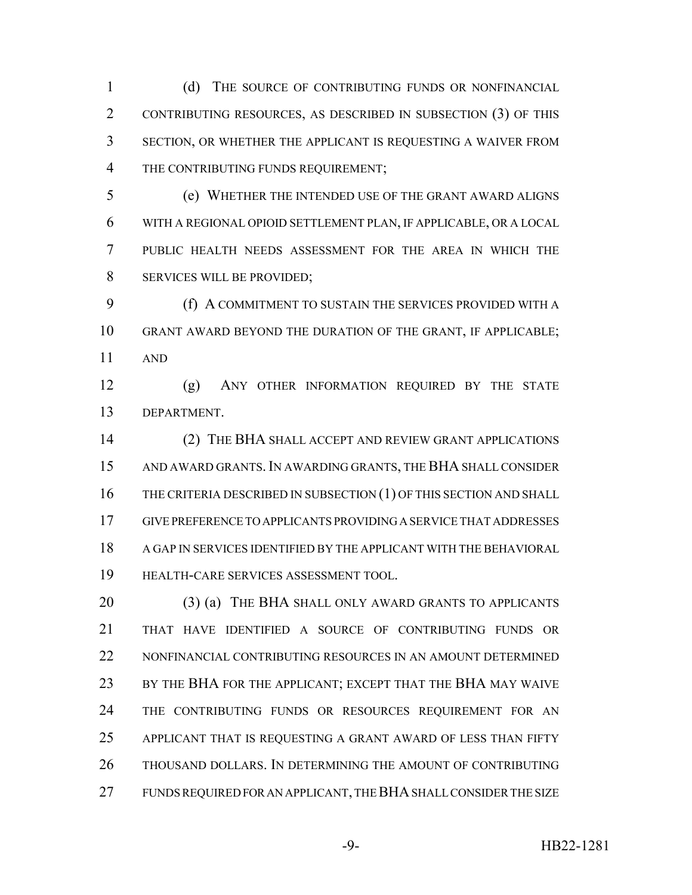1 (d) THE SOURCE OF CONTRIBUTING FUNDS OR NONFINANCIAL CONTRIBUTING RESOURCES, AS DESCRIBED IN SUBSECTION (3) OF THIS SECTION, OR WHETHER THE APPLICANT IS REQUESTING A WAIVER FROM 4 THE CONTRIBUTING FUNDS REQUIREMENT;

 (e) WHETHER THE INTENDED USE OF THE GRANT AWARD ALIGNS WITH A REGIONAL OPIOID SETTLEMENT PLAN, IF APPLICABLE, OR A LOCAL PUBLIC HEALTH NEEDS ASSESSMENT FOR THE AREA IN WHICH THE SERVICES WILL BE PROVIDED;

 (f) A COMMITMENT TO SUSTAIN THE SERVICES PROVIDED WITH A GRANT AWARD BEYOND THE DURATION OF THE GRANT, IF APPLICABLE; AND

 (g) ANY OTHER INFORMATION REQUIRED BY THE STATE DEPARTMENT.

 (2) THE BHA SHALL ACCEPT AND REVIEW GRANT APPLICATIONS AND AWARD GRANTS.IN AWARDING GRANTS, THE BHA SHALL CONSIDER 16 THE CRITERIA DESCRIBED IN SUBSECTION (1) OF THIS SECTION AND SHALL GIVE PREFERENCE TO APPLICANTS PROVIDING A SERVICE THAT ADDRESSES A GAP IN SERVICES IDENTIFIED BY THE APPLICANT WITH THE BEHAVIORAL HEALTH-CARE SERVICES ASSESSMENT TOOL.

20 (3) (a) THE BHA SHALL ONLY AWARD GRANTS TO APPLICANTS THAT HAVE IDENTIFIED A SOURCE OF CONTRIBUTING FUNDS OR NONFINANCIAL CONTRIBUTING RESOURCES IN AN AMOUNT DETERMINED 23 BY THE BHA FOR THE APPLICANT; EXCEPT THAT THE BHA MAY WAIVE 24 THE CONTRIBUTING FUNDS OR RESOURCES REQUIREMENT FOR AN APPLICANT THAT IS REQUESTING A GRANT AWARD OF LESS THAN FIFTY THOUSAND DOLLARS. IN DETERMINING THE AMOUNT OF CONTRIBUTING FUNDS REQUIRED FOR AN APPLICANT, THE BHA SHALL CONSIDER THE SIZE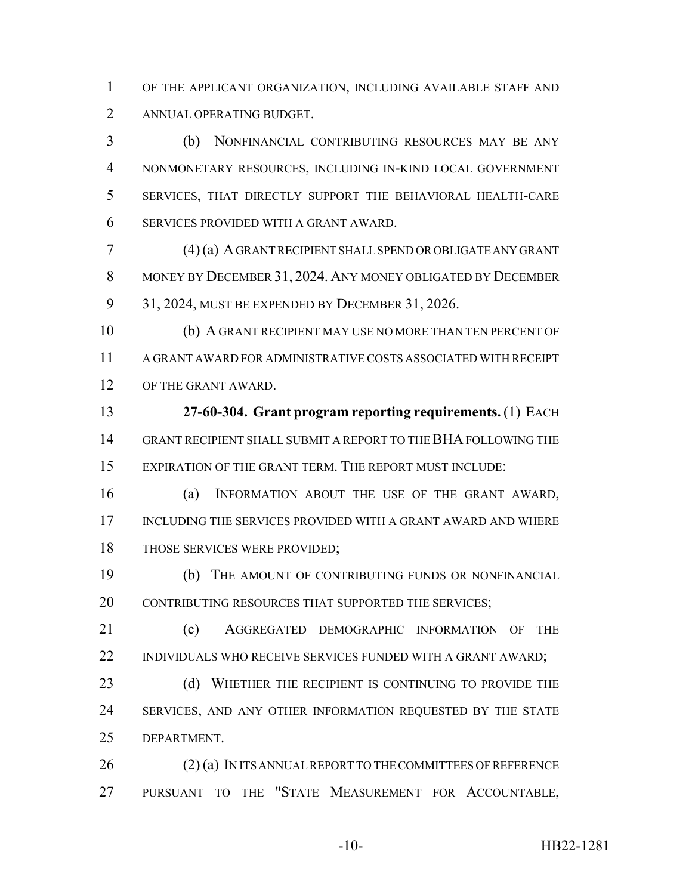OF THE APPLICANT ORGANIZATION, INCLUDING AVAILABLE STAFF AND ANNUAL OPERATING BUDGET.

 (b) NONFINANCIAL CONTRIBUTING RESOURCES MAY BE ANY NONMONETARY RESOURCES, INCLUDING IN-KIND LOCAL GOVERNMENT SERVICES, THAT DIRECTLY SUPPORT THE BEHAVIORAL HEALTH-CARE SERVICES PROVIDED WITH A GRANT AWARD.

 (4) (a) A GRANT RECIPIENT SHALL SPEND OR OBLIGATE ANY GRANT MONEY BY DECEMBER 31, 2024. ANY MONEY OBLIGATED BY DECEMBER 31, 2024, MUST BE EXPENDED BY DECEMBER 31, 2026.

 (b) A GRANT RECIPIENT MAY USE NO MORE THAN TEN PERCENT OF A GRANT AWARD FOR ADMINISTRATIVE COSTS ASSOCIATED WITH RECEIPT OF THE GRANT AWARD.

 **27-60-304. Grant program reporting requirements.** (1) EACH GRANT RECIPIENT SHALL SUBMIT A REPORT TO THE BHA FOLLOWING THE EXPIRATION OF THE GRANT TERM. THE REPORT MUST INCLUDE:

 (a) INFORMATION ABOUT THE USE OF THE GRANT AWARD, INCLUDING THE SERVICES PROVIDED WITH A GRANT AWARD AND WHERE 18 THOSE SERVICES WERE PROVIDED;

 (b) THE AMOUNT OF CONTRIBUTING FUNDS OR NONFINANCIAL 20 CONTRIBUTING RESOURCES THAT SUPPORTED THE SERVICES;

21 (c) AGGREGATED DEMOGRAPHIC INFORMATION OF THE 22 INDIVIDUALS WHO RECEIVE SERVICES FUNDED WITH A GRANT AWARD;

23 (d) WHETHER THE RECIPIENT IS CONTINUING TO PROVIDE THE 24 SERVICES, AND ANY OTHER INFORMATION REQUESTED BY THE STATE DEPARTMENT.

26 (2) (a) IN ITS ANNUAL REPORT TO THE COMMITTEES OF REFERENCE PURSUANT TO THE "STATE MEASUREMENT FOR ACCOUNTABLE,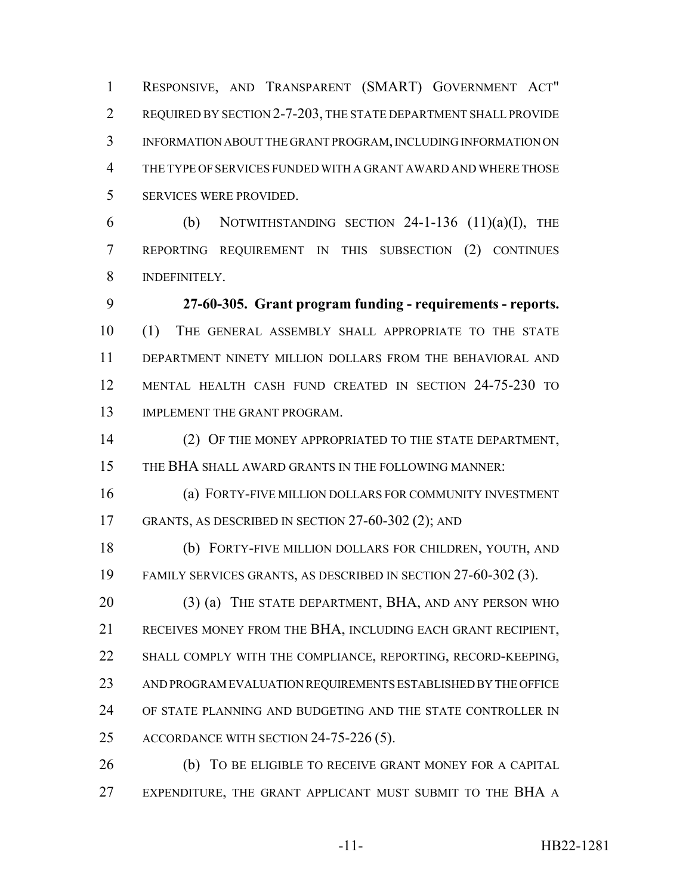RESPONSIVE, AND TRANSPARENT (SMART) GOVERNMENT ACT" REQUIRED BY SECTION 2-7-203, THE STATE DEPARTMENT SHALL PROVIDE INFORMATION ABOUT THE GRANT PROGRAM, INCLUDING INFORMATION ON THE TYPE OF SERVICES FUNDED WITH A GRANT AWARD AND WHERE THOSE SERVICES WERE PROVIDED.

6 (b) NOTWITHSTANDING SECTION -1-136  $(11)(a)(I)$ , THE REPORTING REQUIREMENT IN THIS SUBSECTION (2) CONTINUES INDEFINITELY.

 **27-60-305. Grant program funding - requirements - reports.** (1) THE GENERAL ASSEMBLY SHALL APPROPRIATE TO THE STATE DEPARTMENT NINETY MILLION DOLLARS FROM THE BEHAVIORAL AND MENTAL HEALTH CASH FUND CREATED IN SECTION 24-75-230 TO 13 IMPLEMENT THE GRANT PROGRAM.

 (2) OF THE MONEY APPROPRIATED TO THE STATE DEPARTMENT, THE BHA SHALL AWARD GRANTS IN THE FOLLOWING MANNER:

 (a) FORTY-FIVE MILLION DOLLARS FOR COMMUNITY INVESTMENT GRANTS, AS DESCRIBED IN SECTION 27-60-302 (2); AND

 (b) FORTY-FIVE MILLION DOLLARS FOR CHILDREN, YOUTH, AND FAMILY SERVICES GRANTS, AS DESCRIBED IN SECTION 27-60-302 (3).

20 (3) (a) THE STATE DEPARTMENT, BHA, AND ANY PERSON WHO RECEIVES MONEY FROM THE BHA, INCLUDING EACH GRANT RECIPIENT, SHALL COMPLY WITH THE COMPLIANCE, REPORTING, RECORD-KEEPING, AND PROGRAM EVALUATION REQUIREMENTS ESTABLISHED BY THE OFFICE OF STATE PLANNING AND BUDGETING AND THE STATE CONTROLLER IN 25 ACCORDANCE WITH SECTION 24-75-226 (5).

 (b) TO BE ELIGIBLE TO RECEIVE GRANT MONEY FOR A CAPITAL 27 EXPENDITURE, THE GRANT APPLICANT MUST SUBMIT TO THE BHA A